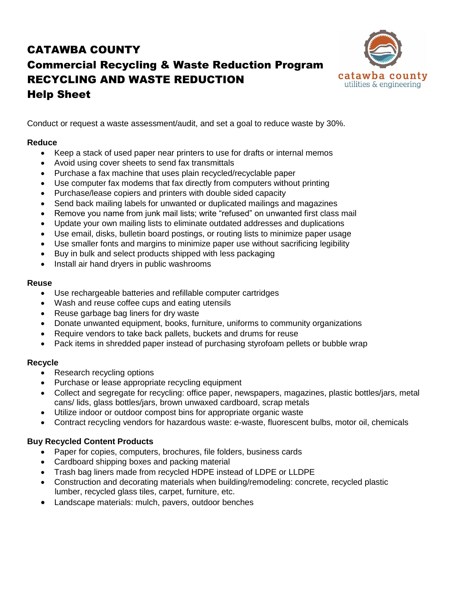## CATAWBA COUNTY Commercial Recycling & Waste Reduction Program RECYCLING AND WASTE REDUCTION Help Sheet



Conduct or request a waste assessment/audit, and set a goal to reduce waste by 30%.

## **Reduce**

- Keep a stack of used paper near printers to use for drafts or internal memos
- Avoid using cover sheets to send fax transmittals
- Purchase a fax machine that uses plain recycled/recyclable paper
- Use computer fax modems that fax directly from computers without printing
- Purchase/lease copiers and printers with double sided capacity
- Send back mailing labels for unwanted or duplicated mailings and magazines
- Remove you name from junk mail lists; write "refused" on unwanted first class mail
- Update your own mailing lists to eliminate outdated addresses and duplications
- Use email, disks, bulletin board postings, or routing lists to minimize paper usage
- Use smaller fonts and margins to minimize paper use without sacrificing legibility
- Buy in bulk and select products shipped with less packaging
- Install air hand dryers in public washrooms

### **Reuse**

- Use rechargeable batteries and refillable computer cartridges
- Wash and reuse coffee cups and eating utensils
- Reuse garbage bag liners for dry waste
- Donate unwanted equipment, books, furniture, uniforms to community organizations
- Require vendors to take back pallets, buckets and drums for reuse
- Pack items in shredded paper instead of purchasing styrofoam pellets or bubble wrap

### **Recycle**

- Research recycling options
- Purchase or lease appropriate recycling equipment
- Collect and segregate for recycling: office paper, newspapers, magazines, plastic bottles/jars, metal cans/ lids, glass bottles/jars, brown unwaxed cardboard, scrap metals
- Utilize indoor or outdoor compost bins for appropriate organic waste
- Contract recycling vendors for hazardous waste: e-waste, fluorescent bulbs, motor oil, chemicals

## **Buy Recycled Content Products**

- Paper for copies, computers, brochures, file folders, business cards
- Cardboard shipping boxes and packing material
- Trash bag liners made from recycled HDPE instead of LDPE or LLDPE
- Construction and decorating materials when building/remodeling: concrete, recycled plastic lumber, recycled glass tiles, carpet, furniture, etc.
- Landscape materials: mulch, pavers, outdoor benches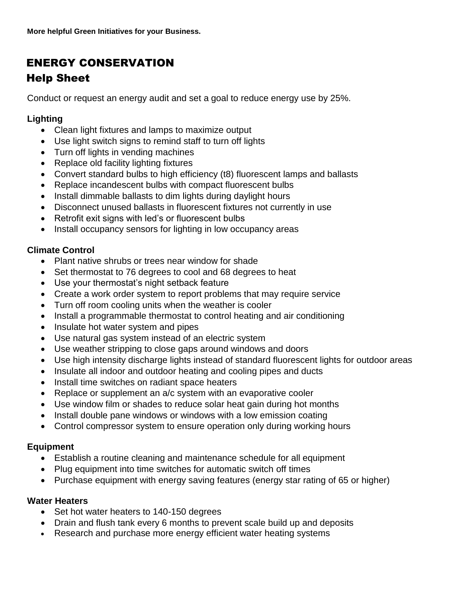## ENERGY CONSERVATION

## Help Sheet

Conduct or request an energy audit and set a goal to reduce energy use by 25%.

## **Lighting**

- Clean light fixtures and lamps to maximize output
- Use light switch signs to remind staff to turn off lights
- Turn off lights in vending machines
- Replace old facility lighting fixtures
- Convert standard bulbs to high efficiency (t8) fluorescent lamps and ballasts
- Replace incandescent bulbs with compact fluorescent bulbs
- Install dimmable ballasts to dim lights during daylight hours
- Disconnect unused ballasts in fluorescent fixtures not currently in use
- Retrofit exit signs with led's or fluorescent bulbs
- Install occupancy sensors for lighting in low occupancy areas

## **Climate Control**

- Plant native shrubs or trees near window for shade
- Set thermostat to 76 degrees to cool and 68 degrees to heat
- Use your thermostat's night setback feature
- Create a work order system to report problems that may require service
- Turn off room cooling units when the weather is cooler
- Install a programmable thermostat to control heating and air conditioning
- Insulate hot water system and pipes
- Use natural gas system instead of an electric system
- Use weather stripping to close gaps around windows and doors
- Use high intensity discharge lights instead of standard fluorescent lights for outdoor areas
- Insulate all indoor and outdoor heating and cooling pipes and ducts
- Install time switches on radiant space heaters
- Replace or supplement an a/c system with an evaporative cooler
- Use window film or shades to reduce solar heat gain during hot months
- Install double pane windows or windows with a low emission coating
- Control compressor system to ensure operation only during working hours

## **Equipment**

- Establish a routine cleaning and maintenance schedule for all equipment
- Plug equipment into time switches for automatic switch off times
- Purchase equipment with energy saving features (energy star rating of 65 or higher)

## **Water Heaters**

- Set hot water heaters to 140-150 degrees
- Drain and flush tank every 6 months to prevent scale build up and deposits
- Research and purchase more energy efficient water heating systems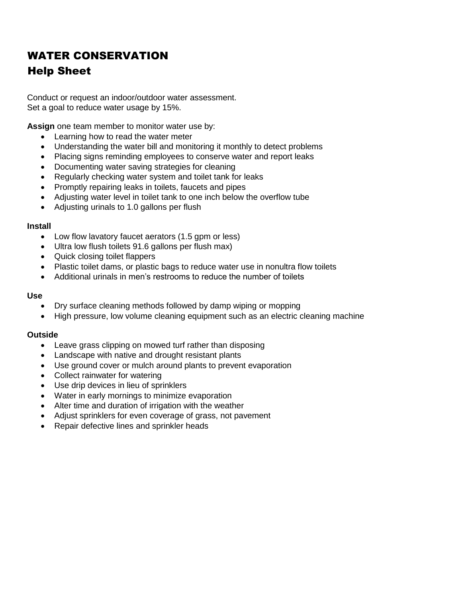# WATER CONSERVATION Help Sheet

Conduct or request an indoor/outdoor water assessment. Set a goal to reduce water usage by 15%.

**Assign** one team member to monitor water use by:

- Learning how to read the water meter
- Understanding the water bill and monitoring it monthly to detect problems
- Placing signs reminding employees to conserve water and report leaks
- Documenting water saving strategies for cleaning
- Regularly checking water system and toilet tank for leaks
- Promptly repairing leaks in toilets, faucets and pipes
- Adjusting water level in toilet tank to one inch below the overflow tube
- Adjusting urinals to 1.0 gallons per flush

#### **Install**

- Low flow lavatory faucet aerators (1.5 gpm or less)
- Ultra low flush toilets 91.6 gallons per flush max)
- Quick closing toilet flappers
- Plastic toilet dams, or plastic bags to reduce water use in nonultra flow toilets
- Additional urinals in men's restrooms to reduce the number of toilets

#### **Use**

- Dry surface cleaning methods followed by damp wiping or mopping
- High pressure, low volume cleaning equipment such as an electric cleaning machine

### **Outside**

- Leave grass clipping on mowed turf rather than disposing
- Landscape with native and drought resistant plants
- Use ground cover or mulch around plants to prevent evaporation
- Collect rainwater for watering
- Use drip devices in lieu of sprinklers
- Water in early mornings to minimize evaporation
- Alter time and duration of irrigation with the weather
- Adjust sprinklers for even coverage of grass, not pavement
- Repair defective lines and sprinkler heads